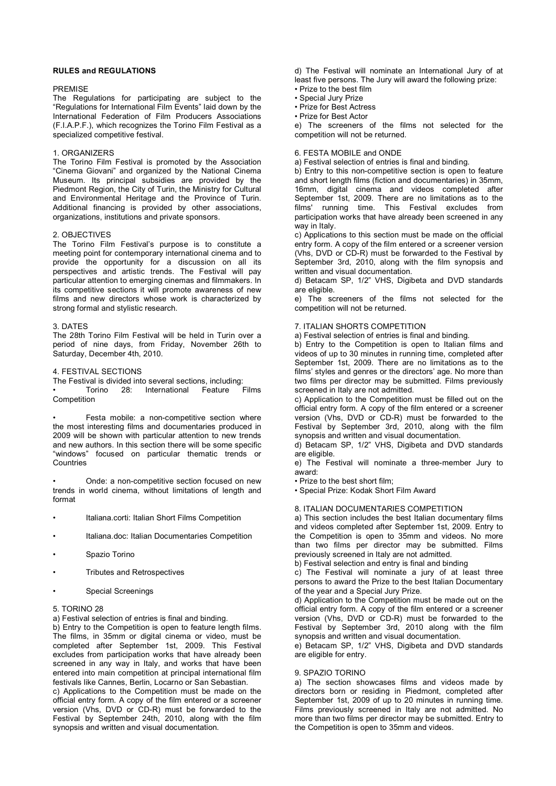# **RULES and REGULATIONS**

# PREMISE

The Regulations for participating are subject to the "Regulations for International Film Events" laid down by the International Federation of Film Producers Associations (F.I.A.P.F.), which recognizes the Torino Film Festival as a specialized competitive festival.

# 1. ORGANIZERS

The Torino Film Festival is promoted by the Association "Cinema Giovani" and organized by the National Cinema Museum. Its principal subsidies are provided by the Piedmont Region, the City of Turin, the Ministry for Cultural and Environmental Heritage and the Province of Turin. Additional financing is provided by other associations, organizations, institutions and private sponsors.

### 2. OBJECTIVES

The Torino Film Festival's purpose is to constitute a meeting point for contemporary international cinema and to provide the opportunity for a discussion on all its perspectives and artistic trends. The Festival will pay particular attention to emerging cinemas and filmmakers. In its competitive sections it will promote awareness of new films and new directors whose work is characterized by strong formal and stylistic research.

### 3. DATES

The 28th Torino Film Festival will be held in Turin over a period of nine days, from Friday, November 26th to Saturday, December 4th, 2010.

## 4. FESTIVAL SECTIONS

The Festival is divided into several sections, including:<br>• Torino 28: International Feature Films Torino 28: International Feature Competition

• Festa mobile: a non-competitive section where the most interesting films and documentaries produced in 2009 will be shown with particular attention to new trends and new authors. In this section there will be some specific "windows" focused on particular thematic trends or Countries

Onde: a non-competitive section focused on new trends in world cinema, without limitations of length and format

- Italiana.corti: Italian Short Films Competition
- Italiana.doc: Italian Documentaries Competition
- Spazio Torino
- Tributes and Retrospectives
- Special Screenings

### 5. TORINO 28

a) Festival selection of entries is final and binding.

b) Entry to the Competition is open to feature length films. The films, in 35mm or digital cinema or video, must be completed after September 1st, 2009. This Festival excludes from participation works that have already been screened in any way in Italy, and works that have been entered into main competition at principal international film festivals like Cannes, Berlin, Locarno or San Sebastian.

c) Applications to the Competition must be made on the official entry form. A copy of the film entered or a screener version (Vhs, DVD or CD-R) must be forwarded to the Festival by September 24th, 2010, along with the film synopsis and written and visual documentation.

d) The Festival will nominate an International Jury of at least five persons. The Jury will award the following prize: • Prize to the best film

• Special Jury Prize

• Prize for Best Actress

• Prize for Best Actor

e) The screeners of the films not selected for the competition will not be returned.

# 6. FESTA MOBILE and ONDE

a) Festival selection of entries is final and binding.

b) Entry to this non-competitive section is open to feature and short length films (fiction and documentaries) in 35mm, 16mm, digital cinema and videos completed after September 1st, 2009. There are no limitations as to the films' running time. This Festival excludes from participation works that have already been screened in any way in Italy.

c) Applications to this section must be made on the official entry form. A copy of the film entered or a screener version (Vhs, DVD or CD-R) must be forwarded to the Festival by September 3rd, 2010, along with the film synopsis and written and visual documentation.

d) Betacam SP, 1/2" VHS, Digibeta and DVD standards are eligible.

e) The screeners of the films not selected for the competition will not be returned.

# 7. ITALIAN SHORTS COMPETITION

a) Festival selection of entries is final and binding.

b) Entry to the Competition is open to Italian films and videos of up to 30 minutes in running time, completed after September 1st, 2009. There are no limitations as to the films' styles and genres or the directors' age. No more than two films per director may be submitted. Films previously screened in Italy are not admitted.

c) Application to the Competition must be filled out on the official entry form. A copy of the film entered or a screener version (Vhs, DVD or CD-R) must be forwarded to the Festival by September 3rd, 2010, along with the film synopsis and written and visual documentation.

d) Betacam SP, 1/2" VHS, Digibeta and DVD standards are eligible.

e) The Festival will nominate a three-member Jury to award:

• Prize to the best short film;

• Special Prize: Kodak Short Film Award

#### 8. ITALIAN DOCUMENTARIES COMPETITION

a) This section includes the best Italian documentary films and videos completed after September 1st, 2009. Entry to the Competition is open to 35mm and videos. No more than two films per director may be submitted. Films previously screened in Italy are not admitted.

b) Festival selection and entry is final and binding

c) The Festival will nominate a jury of at least three persons to award the Prize to the best Italian Documentary of the year and a Special Jury Prize.

d) Application to the Competition must be made out on the official entry form. A copy of the film entered or a screener version (Vhs, DVD or CD-R) must be forwarded to the Festival by September 3rd, 2010 along with the film synopsis and written and visual documentation.

e) Betacam SP, 1/2" VHS, Digibeta and DVD standards are eligible for entry.

### 9. SPAZIO TORINO

a) The section showcases films and videos made by directors born or residing in Piedmont, completed after September 1st, 2009 of up to 20 minutes in running time. Films previously screened in Italy are not admitted. No more than two films per director may be submitted. Entry to the Competition is open to 35mm and videos.